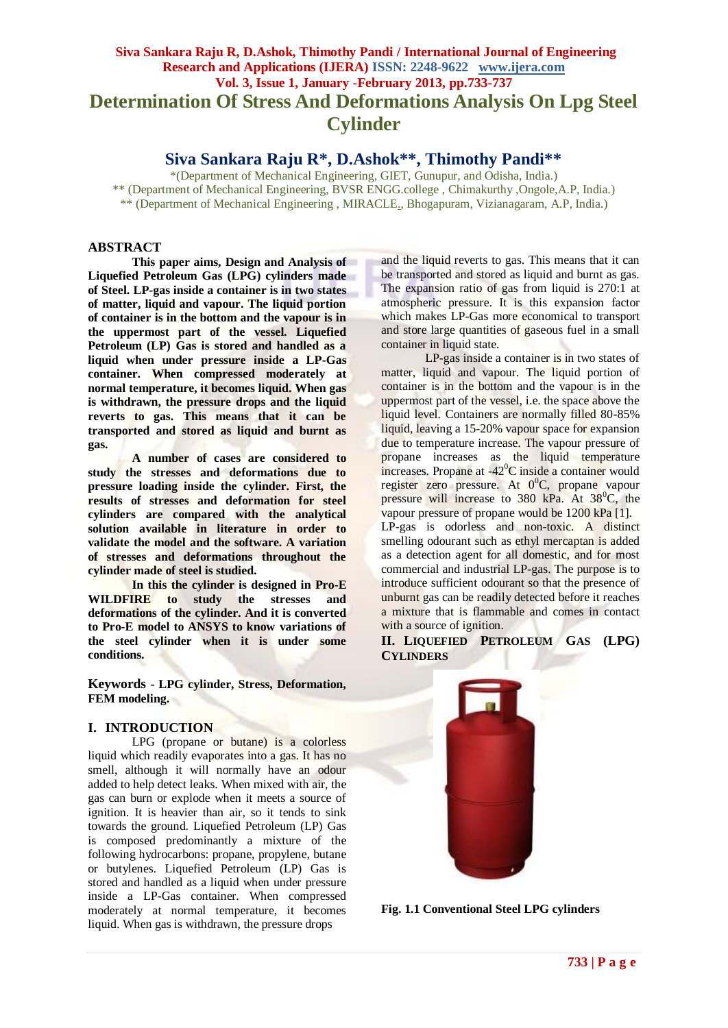# **Siva Sankara Raju R, D.Ashok, Thimothy Pandi / International Journal of Engineering Research and Applications (IJERA) ISSN: 2248-9622 www.ijera.com Vol. 3, Issue 1, January -February 2013, pp.733-737 Determination Of Stress And Deformations Analysis On Lpg Steel Cylinder**

**Siva Sankara Raju R\*, D.Ashok\*\*, Thimothy Pandi\*\***

\*(Department of Mechanical Engineering, GIET, Gunupur, and Odisha, India.) \*\* (Department of Mechanical Engineering, BVSR ENGG.college , Chimakurthy ,Ongole,A.P, India.) \*\* (Department of Mechanical Engineering , MIRACLE., Bhogapuram, Vizianagaram, A.P, India.)

# **ABSTRACT**

**This paper aims, Design and Analysis of Liquefied Petroleum Gas (LPG) cylinders made of Steel. LP-gas inside a container is in two states of matter, liquid and vapour. The liquid portion of container is in the bottom and the vapour is in the uppermost part of the vessel. Liquefied Petroleum (LP) Gas is stored and handled as a liquid when under pressure inside a LP-Gas container. When compressed moderately at normal temperature, it becomes liquid. When gas is withdrawn, the pressure drops and the liquid reverts to gas. This means that it can be transported and stored as liquid and burnt as gas.**

**A number of cases are considered to study the stresses and deformations due to pressure loading inside the cylinder. First, the results of stresses and deformation for steel cylinders are compared with the analytical solution available in literature in order to validate the model and the software. A variation of stresses and deformations throughout the cylinder made of steel is studied.**

**In this the cylinder is designed in Pro-E WILDFIRE to study the stresses and deformations of the cylinder. And it is converted to Pro-E model to ANSYS to know variations of the steel cylinder when it is under some conditions.**

**Keywords - LPG cylinder, Stress, Deformation, FEM modeling.**

# **I. INTRODUCTION**

LPG (propane or butane) is a colorless liquid which readily evaporates into a gas. It has no smell, although it will normally have an odour added to help detect leaks. When mixed with air, the gas can burn or explode when it meets a source of ignition. It is heavier than air, so it tends to sink towards the ground. Liquefied Petroleum (LP) Gas is composed predominantly a mixture of the following hydrocarbons: propane, propylene, butane or butylenes. Liquefied Petroleum (LP) Gas is stored and handled as a liquid when under pressure inside a LP-Gas container. When compressed moderately at normal temperature, it becomes liquid. When gas is withdrawn, the pressure drops

and the liquid reverts to gas. This means that it can be transported and stored as liquid and burnt as gas. The expansion ratio of gas from liquid is 270:1 at atmospheric pressure. It is this expansion factor which makes LP-Gas more economical to transport and store large quantities of gaseous fuel in a small container in liquid state.

LP-gas inside a container is in two states of matter, liquid and vapour. The liquid portion of container is in the bottom and the vapour is in the uppermost part of the vessel, i.e. the space above the liquid level. Containers are normally filled 80-85% liquid, leaving a 15-20% vapour space for expansion due to temperature increase. The vapour pressure of propane increases as the liquid temperature increases. Propane at -42<sup>o</sup>C inside a container would register zero pressure. At 0<sup>0</sup>C, propane vapour pressure will increase to  $380$  kPa. At  $38^{\circ}$ C, the vapour pressure of propane would be 1200 kPa [1]. LP-gas is odorless and non-toxic. A distinct smelling odourant such as ethyl mercaptan is added as a detection agent for all domestic, and for most commercial and industrial LP-gas. The purpose is to introduce sufficient odourant so that the presence of unburnt gas can be readily detected before it reaches a mixture that is flammable and comes in contact with a source of ignition.

**II. LIQUEFIED PETROLEUM GAS (LPG) CYLINDERS**



**Fig. 1.1 Conventional Steel LPG cylinders**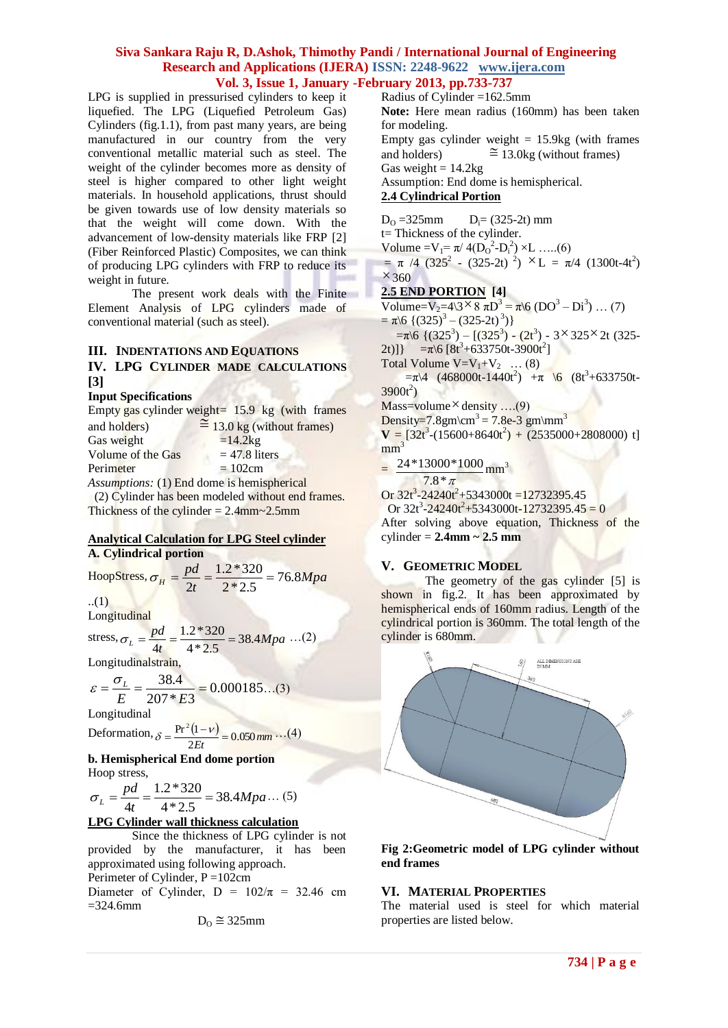LPG is supplied in pressurised cylinders to keep it liquefied. The LPG (Liquefied Petroleum Gas) Cylinders (fig.1.1), from past many years, are being manufactured in our country from the very conventional metallic material such as steel. The weight of the cylinder becomes more as density of steel is higher compared to other light weight materials. In household applications, thrust should be given towards use of low density materials so that the weight will come down. With the advancement of low-density materials like FRP [2] (Fiber Reinforced Plastic) Composites, we can think of producing LPG cylinders with FRP to reduce its weight in future.

The present work deals with the Finite Element Analysis of LPG cylinders made of conventional material (such as steel).

## **III. INDENTATIONS AND EQUATIONS**

# **IV. LPG CYLINDER MADE CALCULATIONS [3]**

#### **Input Specifications**

|                                                   | Empty gas cylinder weight= $15.9 \text{ kg}$ (with frames |  |  |  |  |  |
|---------------------------------------------------|-----------------------------------------------------------|--|--|--|--|--|
| and holders)                                      | $\approx$ 13.0 kg (without frames)                        |  |  |  |  |  |
| Gas weight                                        | $=14.2kg$                                                 |  |  |  |  |  |
| Volume of the Gas                                 | $= 47.8$ liters                                           |  |  |  |  |  |
| Perimeter                                         | $= 102$ cm                                                |  |  |  |  |  |
| Assumptions: (1) End dome is hemispherical        |                                                           |  |  |  |  |  |
| (2) Cylinder has been modeled without end frames. |                                                           |  |  |  |  |  |

Thickness of the cylinder  $= 2.4$ mm $\sim$ 2.5mm

#### **Analytical Calculation for LPG Steel cylinder A. Cylindrical portion**

HoopStress,  $\sigma_H = \frac{p a}{\lambda} = \frac{1.2 \times 320}{0.025} = 76.8 Mpa$ *t*  $p_H = \frac{pd}{2t} = \frac{1.2 * 320}{2 * 2.5} = 76.8$ 1.2\*320 2  $\sigma_{\mu} = \frac{p u}{r} = \frac{1.2 \times 320}{1.2 \times 10^{-7}}$ ..(1)

Longitudinal

stress,  $\sigma_L = \frac{p a}{l} = \frac{1.2 \cdot 320}{1.2 \cdot 5} = 38.4 Mpa$ *t*  $L = \frac{pd}{4t} = \frac{1.2 * 320}{4 * 2.5} = 38.4$ 1.2\*320 4  $\sigma_L = \frac{p a}{r} = \frac{1.2 \cdot 320}{1.2 \cdot 5} = 38.4 Mpa$  ...(2)

Longitudinalstrain,

$$
\varepsilon = \frac{\sigma_L}{E} = \frac{38.4}{207 * E3} = 0.000185...(3)
$$

Longitudinal

Deformation,  $\delta = \frac{\Pr^2(1 - v)}{2Et} = 0.050$  mm  $\delta = \frac{\Pr^2(1-\nu)}{2} = 0.050 \, \text{mm} \dots (4)$ 

#### **b. Hemispherical End dome portion** Hoop stress,

1.2\*320

*Mpa t*  $L = \frac{pd}{4t} = \frac{1.2 * 320}{4 * 2.5} = 38.4$ 4  $\sigma_L = \frac{p u}{r} = \frac{1.2 \times 320}{1.12 \times 10^{12}} = 38.4 M p a \dots (5)$ 

# **LPG Cylinder wall thickness calculation**

Since the thickness of LPG cylinder is not provided by the manufacturer, it has been approximated using following approach.

Perimeter of Cylinder, P =102cm

Diameter of Cylinder, D =  $102/\pi$  = 32.46 cm  $=$ 324.6mm

$$
D_O \cong 325 mm
$$

Radius of Cylinder =162.5mm **Note:** Here mean radius (160mm) has been taken for modeling. Empty gas cylinder weight  $= 15.9$ kg (with frames and holders)  $\approx 13.0$ kg (without frames) Gas weight =  $14.2kg$ Assumption: End dome is hemispherical. **2.4 Cylindrical Portion**

 $D_0 = 325$ mm  $D_i = (325-2t)$  mm t= Thickness of the cylinder. Volume =  $V_1 = \pi / 4(D_0^2 - D_i^2) \times L$  .....(6)  $= \pi /4 (325^2 - (325-2t))^2$   $\times$   $L = \pi/4 (1300t-4t^2)$  $\times$  360 **2.5 END PORTION [4]**  Volume=V<sub>2</sub>=4\3  $\times$  8  $\pi$ D<sup>3</sup> =  $\pi$ \6 (DO<sup>3</sup> – Di<sup>3</sup>) ... (7)  $= \pi \sqrt{6} \left\{ (325)^3 - (325-2t)^3 \right\}$  $=\pi\sqrt{6}$  {(325<sup>3</sup>) – [(325<sup>3</sup>) – (2t<sup>3</sup>) – 3 × 325 × 2t (325– 2t)]} =  $\pi$ \6 [8t<sup>3</sup>+633750t-3900t<sup>2</sup>] Total Volume  $V=V_1+V_2$  ... (8)  $=\pi\sqrt{4}$  (468000t-1440t<sup>2</sup>) + $\pi$  \6 (8t<sup>3</sup>+633750t- $3900t^2$ Mass=volume × density ....(9) Density=7.8gm\cm<sup>3</sup> = 7.8e-3 gm\mm<sup>3</sup>  $V = [32t<sup>3</sup>-(15600+8640t<sup>2</sup>) + (2535000+2808000) t]$  $mm<sup>3</sup>$ =  $24*13000*1000$  mm<sup>3</sup>

 $7.8 * \pi$ Or  $32t^3 - 24240t^2 + 5343000t = 12732395.45$ 

Or  $32t^3 - 24240t^2 + 5343000t - 12732395.45 = 0$ After solving above equation, Thickness of the cylinder = **2.4mm ~ 2.5 mm**

# **V. GEOMETRIC MODEL**

The geometry of the gas cylinder [5] is shown in fig.2. It has been approximated by hemispherical ends of 160mm radius. Length of the cylindrical portion is 360mm. The total length of the cylinder is 680mm.



#### **Fig 2:Geometric model of LPG cylinder without end frames**

# **VI. MATERIAL PROPERTIES**

The material used is steel for which material properties are listed below.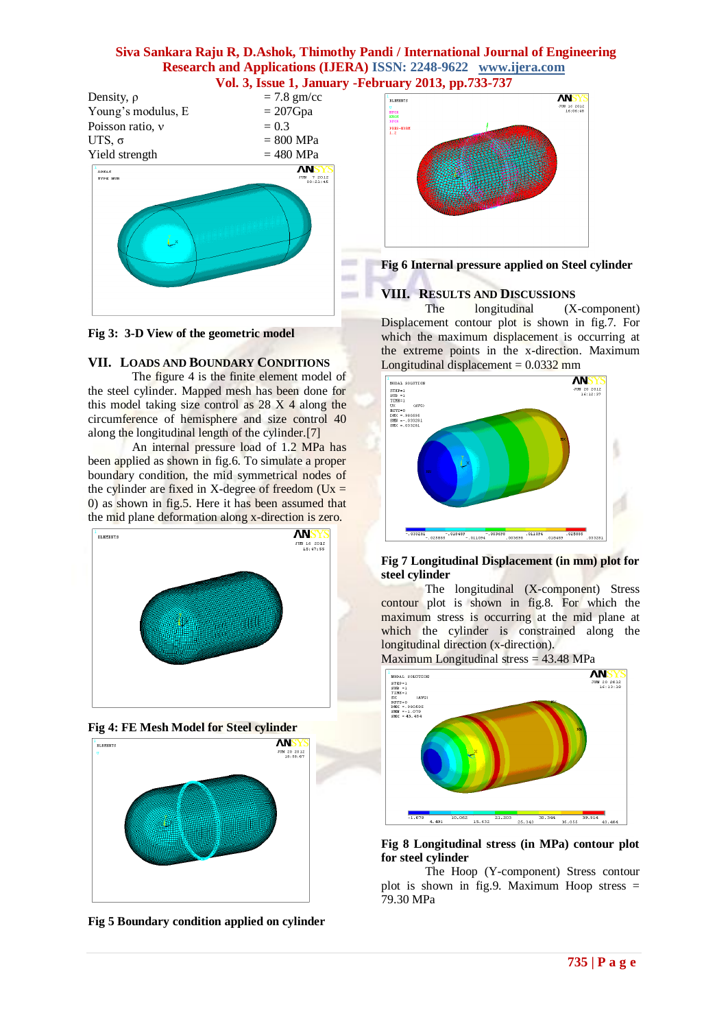

**Fig 3: 3-D View of the geometric model**

# **VII. LOADS AND BOUNDARY CONDITIONS**

The figure 4 is the finite element model of the steel cylinder. Mapped mesh has been done for this model taking size control as  $28 \text{ X } 4$  along the circumference of hemisphere and size control 40 along the longitudinal length of the cylinder.[7]

An internal pressure load of 1.2 MPa has been applied as shown in fig.6. To simulate a proper boundary condition, the mid symmetrical nodes of the cylinder are fixed in X-degree of freedom ( $Ux =$ 0) as shown in fig.5. Here it has been assumed that the mid plane deformation along x-direction is zero.







**Fig 5 Boundary condition applied on cylinder** 



**Fig 6 Internal pressure applied on Steel cylinder** 

# **VIII. RESULTS AND DISCUSSIONS**

The longitudinal (X-component) Displacement contour plot is shown in fig.7. For which the maximum displacement is occurring at the extreme points in the x-direction. Maximum Longitudinal displacement  $= 0.0332$  mm



## **Fig 7 Longitudinal Displacement (in mm) plot for steel cylinder**

The longitudinal (X-component) Stress contour plot is shown in fig.8. For which the maximum stress is occurring at the mid plane at which the cylinder is constrained along the longitudinal direction (x-direction).



## **Fig 8 Longitudinal stress (in MPa) contour plot for steel cylinder**

The Hoop (Y-component) Stress contour plot is shown in fig.9. Maximum Hoop stress = 79.30 MPa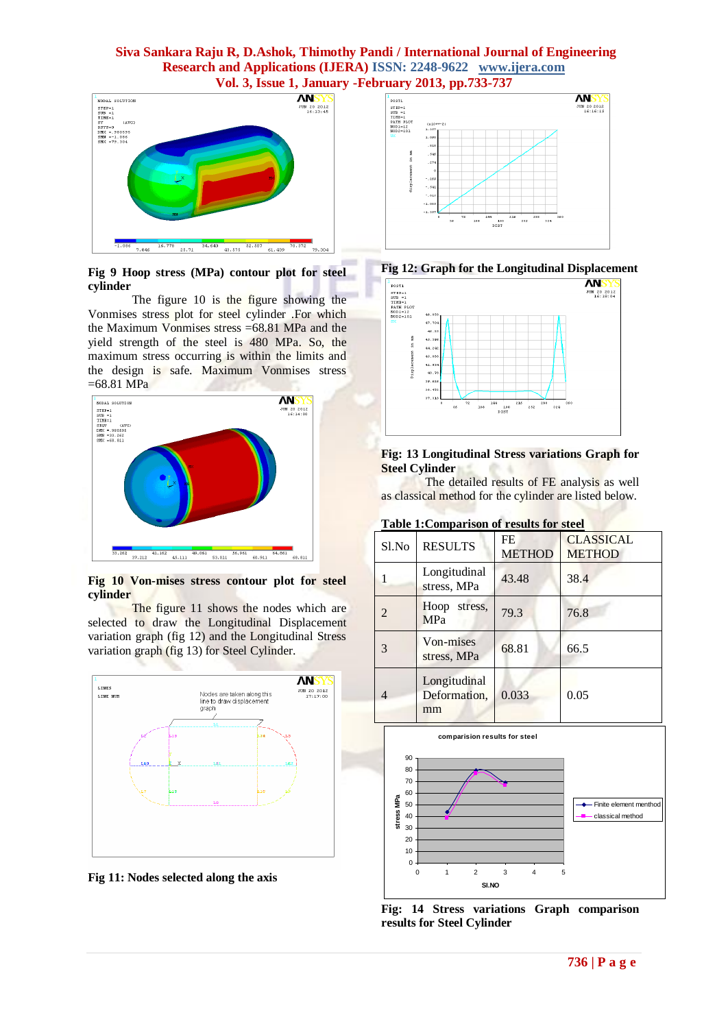

#### **Fig 9 Hoop stress (MPa) contour plot for steel cylinder**

The figure 10 is the figure showing the Vonmises stress plot for steel cylinder .For which the Maximum Vonmises stress =68.81 MPa and the yield strength of the steel is 480 MPa. So, the maximum stress occurring is within the limits and the design is safe. Maximum Vonmises stress  $=68.81 \text{ MPa}$ 



**Fig 10 Von-mises stress contour plot for steel cylinder**

The figure 11 shows the nodes which are selected to draw the Longitudinal Displacement variation graph (fig 12) and the Longitudinal Stress variation graph (fig 13) for Steel Cylinder.



**Fig 11: Nodes selected along the axis**







#### **Fig: 13 Longitudinal Stress variations Graph for Steel Cylinder**

The detailed results of FE analysis as well as classical method for the cylinder are listed below.

|  | Table 1: Comparison of results for steel |  |  |
|--|------------------------------------------|--|--|
|  |                                          |  |  |

| Sl.No | <b>RESULTS</b>                     | FE<br><b>METHOD</b> | <b>CLASSICAL</b><br><b>METHOD</b> |
|-------|------------------------------------|---------------------|-----------------------------------|
|       | Longitudinal<br>stress, MPa        | 43.48               | 38.4                              |
|       | Hoop<br>stress,<br><b>MPa</b>      | 79.3                | 76.8                              |
| 3     | Von-mises<br>stress, MPa           | 68.81               | 66.5                              |
|       | Longitudinal<br>Deformation,<br>mm | 0.033               | 0.05                              |



**Fig: 14 Stress variations Graph comparison results for Steel Cylinder**